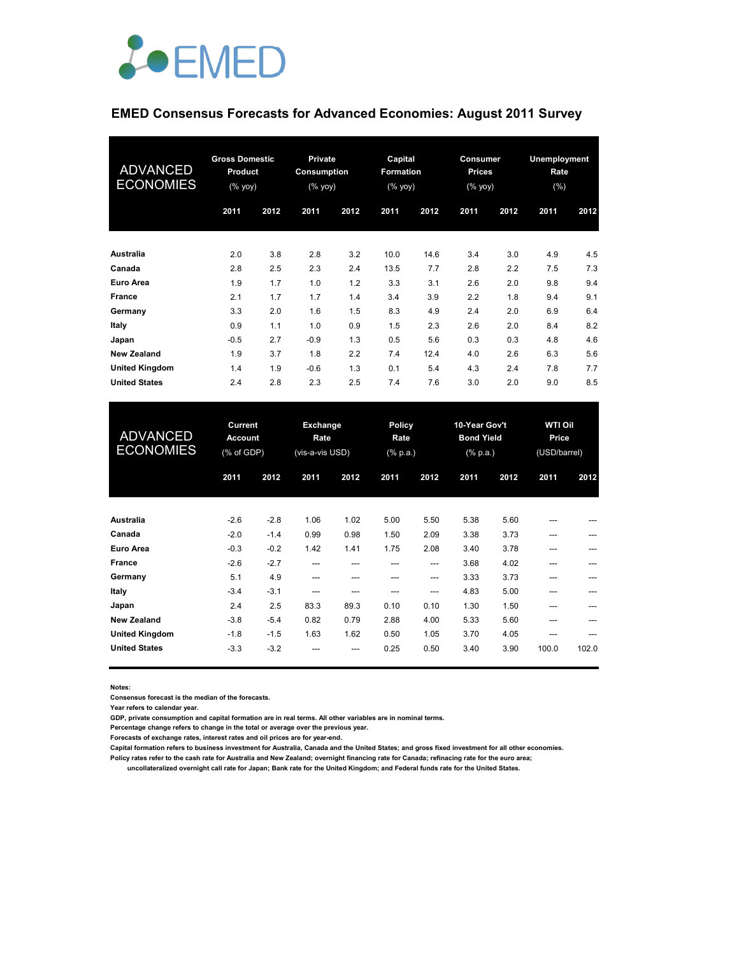

## **EMED Consensus Forecasts for Advanced Economies: August 2011 Survey**

| <b>ADVANCED</b><br><b>ECONOMIES</b> | <b>Gross Domestic</b><br><b>Product</b><br>(% yoy) |      | <b>Private</b><br>Consumption<br>(% yoy) |      | Capital<br>Formation<br>(% yoy) |      | Consumer<br><b>Prices</b><br>(% yoy) |      | Unemployment<br>Rate<br>$(\% )$ |      |
|-------------------------------------|----------------------------------------------------|------|------------------------------------------|------|---------------------------------|------|--------------------------------------|------|---------------------------------|------|
|                                     | 2011                                               | 2012 | 2011                                     | 2012 | 2011                            | 2012 | 2011                                 | 2012 | 2011                            | 2012 |
| <b>Australia</b>                    | 2.0                                                | 3.8  | 2.8                                      | 3.2  | 10.0                            | 14.6 | 3.4                                  | 3.0  | 4.9                             | 4.5  |
| Canada                              | 2.8                                                | 2.5  | 2.3                                      | 2.4  | 13.5                            | 7.7  | 2.8                                  | 2.2  | 7.5                             | 7.3  |
| Euro Area                           | 1.9                                                | 1.7  | 1.0                                      | 1.2  | 3.3                             | 3.1  | 2.6                                  | 2.0  | 9.8                             | 9.4  |
| <b>France</b>                       | 2.1                                                | 1.7  | 1.7                                      | 1.4  | 3.4                             | 3.9  | 2.2                                  | 1.8  | 9.4                             | 9.1  |
| Germany                             | 3.3                                                | 2.0  | 1.6                                      | 1.5  | 8.3                             | 4.9  | 2.4                                  | 2.0  | 6.9                             | 6.4  |
| Italy                               | 0.9                                                | 1.1  | 1.0                                      | 0.9  | 1.5                             | 2.3  | 2.6                                  | 2.0  | 8.4                             | 8.2  |
| Japan                               | $-0.5$                                             | 2.7  | $-0.9$                                   | 1.3  | 0.5                             | 5.6  | 0.3                                  | 0.3  | 4.8                             | 4.6  |
| <b>New Zealand</b>                  | 1.9                                                | 3.7  | 1.8                                      | 2.2  | 7.4                             | 12.4 | 4.0                                  | 2.6  | 6.3                             | 5.6  |
| <b>United Kingdom</b>               | 1.4                                                | 1.9  | $-0.6$                                   | 1.3  | 0.1                             | 5.4  | 4.3                                  | 2.4  | 7.8                             | 7.7  |
| <b>United States</b>                | 2.4                                                | 2.8  | 2.3                                      | 2.5  | 7.4                             | 7.6  | 3.0                                  | 2.0  | 9.0                             | 8.5  |

| <b>ADVANCED</b><br><b>ECONOMIES</b> | Current<br><b>Account</b><br>(% of GDP) |        | Exchange<br>Rate<br>(vis-a-vis USD) |      | Policy<br>Rate<br>$(% \mathbb{R}^2)$ (% p.a.) |       | 10-Year Gov't<br><b>Bond Yield</b><br>$(% \mathbb{R}^2)$ (% p.a.) |      | <b>WTI Oil</b><br>Price<br>(USD/barrel) |       |
|-------------------------------------|-----------------------------------------|--------|-------------------------------------|------|-----------------------------------------------|-------|-------------------------------------------------------------------|------|-----------------------------------------|-------|
|                                     | 2011                                    | 2012   | 2011                                | 2012 | 2011                                          | 2012  | 2011                                                              | 2012 | 2011                                    | 2012  |
| Australia                           | $-2.6$                                  | $-2.8$ | 1.06                                | 1.02 | 5.00                                          | 5.50  | 5.38                                                              | 5.60 | ---                                     |       |
| Canada                              | $-2.0$                                  | $-1.4$ | 0.99                                | 0.98 | 1.50                                          | 2.09  | 3.38                                                              | 3.73 | ---                                     |       |
| Euro Area                           | $-0.3$                                  | $-0.2$ | 1.42                                | 1.41 | 1.75                                          | 2.08  | 3.40                                                              | 3.78 | ---                                     |       |
| France                              | $-2.6$                                  | $-2.7$ | ---                                 | ---  | ---                                           | $---$ | 3.68                                                              | 4.02 | ---                                     | ---   |
| Germany                             | 5.1                                     | 4.9    | ---                                 | ---  | ---                                           | $---$ | 3.33                                                              | 3.73 | ---                                     | ---   |
| Italy                               | $-3.4$                                  | $-3.1$ | ---                                 | ---  | ---                                           | $---$ | 4.83                                                              | 5.00 | ---                                     |       |
| Japan                               | 2.4                                     | 2.5    | 83.3                                | 89.3 | 0.10                                          | 0.10  | 1.30                                                              | 1.50 | ---                                     |       |
| <b>New Zealand</b>                  | $-3.8$                                  | $-5.4$ | 0.82                                | 0.79 | 2.88                                          | 4.00  | 5.33                                                              | 5.60 | ---                                     |       |
| <b>United Kingdom</b>               | $-1.8$                                  | $-1.5$ | 1.63                                | 1.62 | 0.50                                          | 1.05  | 3.70                                                              | 4.05 | ---                                     |       |
| <b>United States</b>                | $-3.3$                                  | $-3.2$ |                                     | ---  | 0.25                                          | 0.50  | 3.40                                                              | 3.90 | 100.0                                   | 102.0 |

**Notes:** 

**Consensus forecast is the median of the forecasts.**

**Year refers to calendar year.**

**GDP, private consumption and capital formation are in real terms. All other variables are in nominal terms.**

**Percentage change refers to change in the total or average over the previous year.**

**Forecasts of exchange rates, interest rates and oil prices are for year-end.**

**Capital formation refers to business investment for Australia, Canada and the United States; and gross fixed investment for all other economies. Policy rates refer to the cash rate for Australia and New Zealand; overnight financing rate for Canada; refinacing rate for the euro area;** 

 **uncollateralized overnight call rate for Japan; Bank rate for the United Kingdom; and Federal funds rate for the United States.**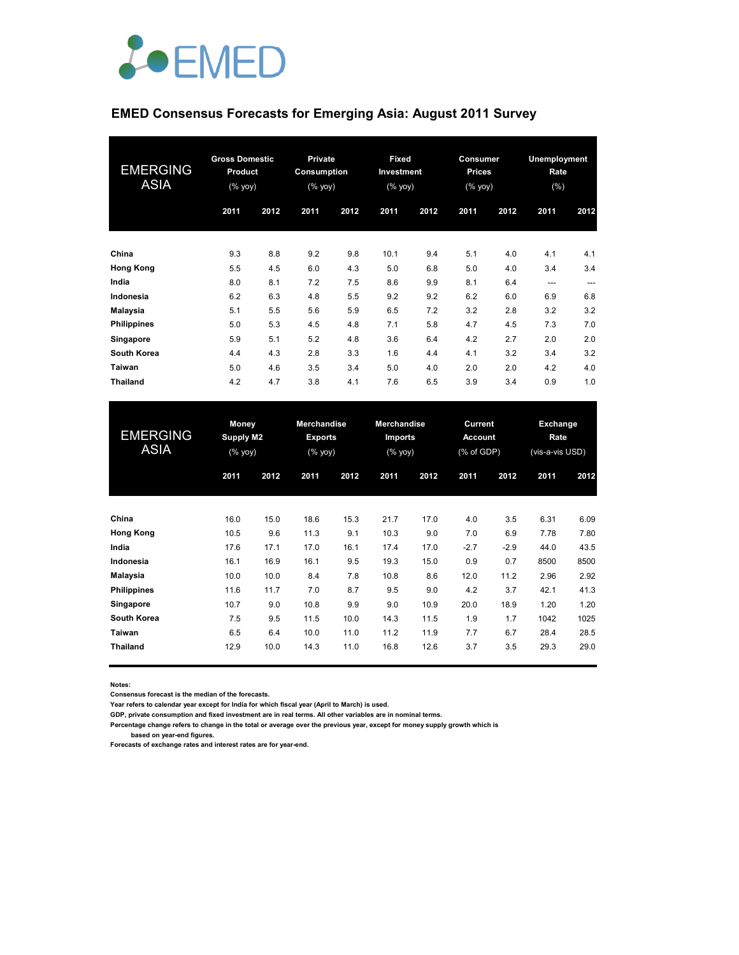

## **EMED Consensus Forecasts for Emerging Asia: August 2011 Survey**

| <b>EMERGING</b><br><b>ASIA</b> | <b>Gross Domestic</b><br>Product<br>(% yoy) |      | <b>Private</b><br>Consumption<br>(% |      | Fixed<br>Investment<br>(% |      | <b>Consumer</b><br><b>Prices</b><br>(% yoy) |      | <b>Unemployment</b><br>Rate<br>$(\% )$ |       |
|--------------------------------|---------------------------------------------|------|-------------------------------------|------|---------------------------|------|---------------------------------------------|------|----------------------------------------|-------|
|                                | 2011                                        | 2012 | 2011                                | 2012 | 2011                      | 2012 | 2011                                        | 2012 | 2011                                   | 2012  |
| China                          | 9.3                                         | 8.8  | 9.2                                 | 9.8  | 10.1                      | 9.4  | 5.1                                         | 4.0  | 4.1                                    | 4.1   |
| <b>Hong Kong</b>               | 5.5                                         | 4.5  | 6.0                                 | 4.3  | 5.0                       | 6.8  | 5.0                                         | 4.0  | 3.4                                    | 3.4   |
| India                          | 8.0                                         | 8.1  | 7.2                                 | 7.5  | 8.6                       | 9.9  | 8.1                                         | 6.4  | $---$                                  | $---$ |
| Indonesia                      | 6.2                                         | 6.3  | 4.8                                 | 5.5  | 9.2                       | 9.2  | 6.2                                         | 6.0  | 6.9                                    | 6.8   |
| Malaysia                       | 5.1                                         | 5.5  | 5.6                                 | 5.9  | 6.5                       | 7.2  | 3.2                                         | 2.8  | 3.2                                    | 3.2   |
| <b>Philippines</b>             | 5.0                                         | 5.3  | 4.5                                 | 4.8  | 7.1                       | 5.8  | 4.7                                         | 4.5  | 7.3                                    | 7.0   |
| Singapore                      | 5.9                                         | 5.1  | 5.2                                 | 4.8  | 3.6                       | 6.4  | 4.2                                         | 2.7  | 2.0                                    | 2.0   |
| <b>South Korea</b>             | 4.4                                         | 4.3  | 2.8                                 | 3.3  | 1.6                       | 4.4  | 4.1                                         | 3.2  | 3.4                                    | 3.2   |
| Taiwan                         | 5.0                                         | 4.6  | 3.5                                 | 3.4  | 5.0                       | 4.0  | 2.0                                         | 2.0  | 4.2                                    | 4.0   |
| <b>Thailand</b>                | 4.2                                         | 4.7  | 3.8                                 | 4.1  | 7.6                       | 6.5  | 3.9                                         | 3.4  | 0.9                                    | 1.0   |

| <b>EMERGING</b><br><b>ASIA</b> | <b>Money</b><br>Supply M2<br>(% yoy) |      | <b>Merchandise</b><br><b>Exports</b><br>(% yoy) |      | <b>Merchandise</b><br>Imports<br>(% yoy) |      | Current<br><b>Account</b><br>$(\%$ of GDP) |        | Exchange<br>Rate<br>(vis-a-vis USD) |      |
|--------------------------------|--------------------------------------|------|-------------------------------------------------|------|------------------------------------------|------|--------------------------------------------|--------|-------------------------------------|------|
|                                | 2011                                 | 2012 | 2011                                            | 2012 | 2011                                     | 2012 | 2011                                       | 2012   | 2011                                | 2012 |
| China                          | 16.0                                 | 15.0 | 18.6                                            | 15.3 | 21.7                                     | 17.0 | 4.0                                        | 3.5    | 6.31                                | 6.09 |
| <b>Hong Kong</b>               | 10.5                                 | 9.6  | 11.3                                            | 9.1  | 10.3                                     | 9.0  | 7.0                                        | 6.9    | 7.78                                | 7.80 |
| India                          | 17.6                                 | 17.1 | 17.0                                            | 16.1 | 17.4                                     | 17.0 | $-2.7$                                     | $-2.9$ | 44.0                                | 43.5 |
| Indonesia                      | 16.1                                 | 16.9 | 16.1                                            | 9.5  | 19.3                                     | 15.0 | 0.9                                        | 0.7    | 8500                                | 8500 |
| Malaysia                       | 10.0                                 | 10.0 | 8.4                                             | 7.8  | 10.8                                     | 8.6  | 12.0                                       | 11.2   | 2.96                                | 2.92 |
| <b>Philippines</b>             | 11.6                                 | 11.7 | 7.0                                             | 8.7  | 9.5                                      | 9.0  | 4.2                                        | 3.7    | 42.1                                | 41.3 |
| Singapore                      | 10.7                                 | 9.0  | 10.8                                            | 9.9  | 9.0                                      | 10.9 | 20.0                                       | 18.9   | 1.20                                | 1.20 |
| South Korea                    | 7.5                                  | 9.5  | 11.5                                            | 10.0 | 14.3                                     | 11.5 | 1.9                                        | 1.7    | 1042                                | 1025 |
| Taiwan                         | 6.5                                  | 6.4  | 10.0                                            | 11.0 | 11.2                                     | 11.9 | 7.7                                        | 6.7    | 28.4                                | 28.5 |
| <b>Thailand</b>                | 12.9                                 | 10.0 | 14.3                                            | 11.0 | 16.8                                     | 12.6 | 3.7                                        | 3.5    | 29.3                                | 29.0 |

**Notes:** 

**Consensus forecast is the median of the forecasts.**

**Year refers to calendar year except for India for which fiscal year (April to March) is used.**

**GDP, private consumption and fixed investment are in real terms. All other variables are in nominal terms.**

**Percentage change refers to change in the total or average over the previous year, except for money supply growth which is based on year-end figures.**

**Forecasts of exchange rates and interest rates are for year-end.**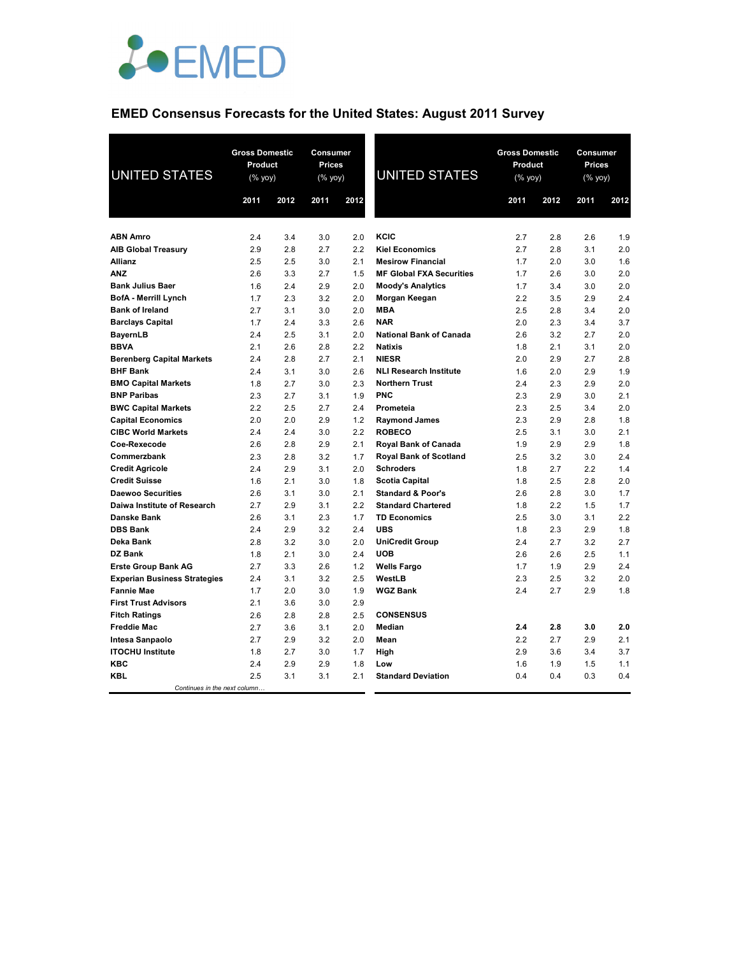

# **EMED Consensus Forecasts for the United States: August 2011 Survey**

| <b>UNITED STATES</b>                | <b>Gross Domestic</b><br>Product<br>(% yoy) |      | Consumer<br><b>Prices</b><br>(% yoy) |      | <b>UNITED STATES</b>            | <b>Gross Domestic</b><br>Product<br>(% yoy) |      | Consumer<br>Prices<br>(% yoy) |      |
|-------------------------------------|---------------------------------------------|------|--------------------------------------|------|---------------------------------|---------------------------------------------|------|-------------------------------|------|
|                                     | 2011                                        | 2012 | 2011                                 | 2012 |                                 | 2011                                        | 2012 | 2011                          | 2012 |
|                                     |                                             |      |                                      |      |                                 |                                             |      |                               |      |
| <b>ABN Amro</b>                     | 2.4                                         | 3.4  | 3.0                                  | 2.0  | <b>KCIC</b>                     | 2.7                                         | 2.8  | 2.6                           | 1.9  |
| <b>AIB Global Treasury</b>          | 2.9                                         | 2.8  | 2.7                                  | 2.2  | <b>Kiel Economics</b>           | 2.7                                         | 2.8  | 3.1                           | 2.0  |
| <b>Allianz</b>                      | 2.5                                         | 2.5  | 3.0                                  | 2.1  | <b>Mesirow Financial</b>        | 1.7                                         | 2.0  | 3.0                           | 1.6  |
| <b>ANZ</b>                          | 2.6                                         | 3.3  | 2.7                                  | 1.5  | <b>MF Global FXA Securities</b> | 1.7                                         | 2.6  | 3.0                           | 2.0  |
| <b>Bank Julius Baer</b>             | 1.6                                         | 2.4  | 2.9                                  | 2.0  | <b>Moody's Analytics</b>        | 1.7                                         | 3.4  | 3.0                           | 2.0  |
| <b>BofA - Merrill Lynch</b>         | 1.7                                         | 2.3  | 3.2                                  | 2.0  | Morgan Keegan                   | 2.2                                         | 3.5  | 2.9                           | 2.4  |
| <b>Bank of Ireland</b>              | 2.7                                         | 3.1  | 3.0                                  | 2.0  | <b>MBA</b>                      | 2.5                                         | 2.8  | 3.4                           | 2.0  |
| <b>Barclays Capital</b>             | 1.7                                         | 2.4  | 3.3                                  | 2.6  | <b>NAR</b>                      | 2.0                                         | 2.3  | 3.4                           | 3.7  |
| <b>BayernLB</b>                     | 2.4                                         | 2.5  | 3.1                                  | 2.0  | <b>National Bank of Canada</b>  | 2.6                                         | 3.2  | 2.7                           | 2.0  |
| <b>BBVA</b>                         | 2.1                                         | 2.6  | 2.8                                  | 2.2  | <b>Natixis</b>                  | 1.8                                         | 2.1  | 3.1                           | 2.0  |
| <b>Berenberg Capital Markets</b>    | 2.4                                         | 2.8  | 2.7                                  | 2.1  | <b>NIESR</b>                    | 2.0                                         | 2.9  | 2.7                           | 2.8  |
| <b>BHF Bank</b>                     | 2.4                                         | 3.1  | 3.0                                  | 2.6  | <b>NLI Research Institute</b>   | 1.6                                         | 2.0  | 2.9                           | 1.9  |
| <b>BMO Capital Markets</b>          | 1.8                                         | 2.7  | 3.0                                  | 2.3  | <b>Northern Trust</b>           | 2.4                                         | 2.3  | 2.9                           | 2.0  |
| <b>BNP Paribas</b>                  | 2.3                                         | 2.7  | 3.1                                  | 1.9  | <b>PNC</b>                      | 2.3                                         | 2.9  | 3.0                           | 2.1  |
| <b>BWC Capital Markets</b>          | 2.2                                         | 2.5  | 2.7                                  | 2.4  | Prometeia                       | 2.3                                         | 2.5  | 3.4                           | 2.0  |
| <b>Capital Economics</b>            | 2.0                                         | 2.0  | 2.9                                  | 1.2  | <b>Raymond James</b>            | 2.3                                         | 2.9  | 2.8                           | 1.8  |
| <b>CIBC World Markets</b>           | 2.4                                         | 2.4  | 3.0                                  | 2.2  | <b>ROBECO</b>                   | 2.5                                         | 3.1  | 3.0                           | 2.1  |
| Coe-Rexecode                        | 2.6                                         | 2.8  | 2.9                                  | 2.1  | Royal Bank of Canada            | 1.9                                         | 2.9  | 2.9                           | 1.8  |
| Commerzbank                         | 2.3                                         | 2.8  | 3.2                                  | 1.7  | <b>Royal Bank of Scotland</b>   | 2.5                                         | 3.2  | 3.0                           | 2.4  |
| <b>Credit Agricole</b>              | 2.4                                         | 2.9  | 3.1                                  | 2.0  | <b>Schroders</b>                | 1.8                                         | 2.7  | 2.2                           | 1.4  |
| <b>Credit Suisse</b>                | 1.6                                         | 2.1  | 3.0                                  | 1.8  | <b>Scotia Capital</b>           | 1.8                                         | 2.5  | 2.8                           | 2.0  |
| <b>Daewoo Securities</b>            | 2.6                                         | 3.1  | 3.0                                  | 2.1  | <b>Standard &amp; Poor's</b>    | 2.6                                         | 2.8  | 3.0                           | 1.7  |
| Daiwa Institute of Research         | 2.7                                         | 2.9  | 3.1                                  | 2.2  | <b>Standard Chartered</b>       | 1.8                                         | 2.2  | 1.5                           | 1.7  |
| Danske Bank                         | 2.6                                         | 3.1  | 2.3                                  | 1.7  | <b>TD Economics</b>             | 2.5                                         | 3.0  | 3.1                           | 2.2  |
| <b>DBS Bank</b>                     | 2.4                                         | 2.9  | 3.2                                  | 2.4  | <b>UBS</b>                      | 1.8                                         | 2.3  | 2.9                           | 1.8  |
| Deka Bank                           | 2.8                                         | 3.2  | 3.0                                  | 2.0  | <b>UniCredit Group</b>          | 2.4                                         | 2.7  | 3.2                           | 2.7  |
| <b>DZ Bank</b>                      | 1.8                                         | 2.1  | 3.0                                  | 2.4  | <b>UOB</b>                      | 2.6                                         | 2.6  | 2.5                           | 1.1  |
| <b>Erste Group Bank AG</b>          | 2.7                                         | 3.3  | 2.6                                  | 1.2  | <b>Wells Fargo</b>              | 1.7                                         | 1.9  | 2.9                           | 2.4  |
| <b>Experian Business Strategies</b> | 2.4                                         | 3.1  | 3.2                                  | 2.5  | WestLB                          | 2.3                                         | 2.5  | 3.2                           | 2.0  |
| <b>Fannie Mae</b>                   | 1.7                                         | 2.0  | 3.0                                  | 1.9  | <b>WGZ Bank</b>                 | 2.4                                         | 2.7  | 2.9                           | 1.8  |
| <b>First Trust Advisors</b>         | 2.1                                         | 3.6  | 3.0                                  | 2.9  |                                 |                                             |      |                               |      |
| <b>Fitch Ratings</b>                | 2.6                                         | 2.8  | 2.8                                  | 2.5  | <b>CONSENSUS</b>                |                                             |      |                               |      |
| <b>Freddie Mac</b>                  | 2.7                                         | 3.6  | 3.1                                  | 2.0  | Median                          | 2.4                                         | 2.8  | 3.0                           | 2.0  |
| Intesa Sanpaolo                     | 2.7                                         | 2.9  | 3.2                                  | 2.0  | Mean                            | 2.2                                         | 2.7  | 2.9                           | 2.1  |
| <b>ITOCHU Institute</b>             | 1.8                                         | 2.7  | 3.0                                  | 1.7  | High                            | 2.9                                         | 3.6  | 3.4                           | 3.7  |
| KBC                                 | 2.4                                         | 2.9  | 2.9                                  | 1.8  | Low                             | 1.6                                         | 1.9  | 1.5                           | 1.1  |
| <b>KBL</b>                          | 2.5                                         | 3.1  | 3.1                                  | 2.1  | <b>Standard Deviation</b>       | 0.4                                         | 0.4  | 0.3                           | 0.4  |
| Continues in the next column        |                                             |      |                                      |      |                                 |                                             |      |                               |      |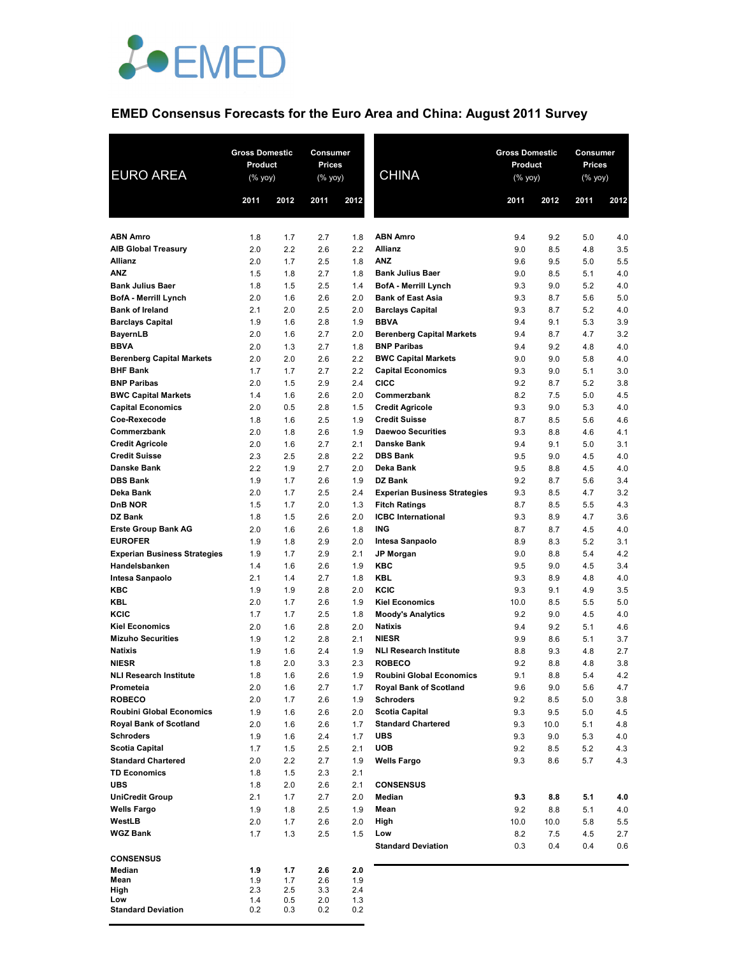

## **EMED Consensus Forecasts for the Euro Area and China: August 2011 Survey**

| <b>EURO AREA</b>                                     | <b>Gross Domestic</b><br>Product<br>$(%$ (% yoy) |            | Consumer<br>Prices<br>$(%$ (% yoy) |            | <b>CHINA</b>                                           | <b>Gross Domestic</b><br>Product<br>(% yoy) |                     | Consumer<br>Prices<br>(% yoy) |            |
|------------------------------------------------------|--------------------------------------------------|------------|------------------------------------|------------|--------------------------------------------------------|---------------------------------------------|---------------------|-------------------------------|------------|
|                                                      | 2011                                             | 2012       | 2011                               | 2012       |                                                        | 2011                                        | 2012                | 2011                          | 2012       |
| <b>ABN Amro</b>                                      | 1.8                                              | 1.7        | 2.7                                | 1.8        | <b>ABN Amro</b>                                        | 9.4                                         | 9.2                 | 5.0                           | 4.0        |
| <b>AIB Global Treasury</b>                           | 2.0                                              | 2.2        | 2.6                                | 2.2        | <b>Allianz</b>                                         | 9.0                                         | 8.5                 | 4.8                           | 3.5        |
| <b>Allianz</b>                                       | 2.0                                              | 1.7        | 2.5                                | 1.8        | <b>ANZ</b>                                             | 9.6                                         | 9.5                 | 5.0                           | 5.5        |
| <b>ANZ</b>                                           | 1.5                                              | 1.8        | 2.7                                | 1.8        | <b>Bank Julius Baer</b>                                | 9.0                                         | 8.5                 | 5.1                           | 4.0        |
| <b>Bank Julius Baer</b>                              | 1.8                                              | 1.5        | 2.5                                | 1.4        | <b>BofA</b> - Merrill Lynch                            | 9.3                                         | 9.0                 | 5.2                           | 4.0        |
| BofA - Merrill Lynch                                 | 2.0                                              | 1.6        | 2.6                                | 2.0        | <b>Bank of East Asia</b>                               | 9.3                                         | 8.7                 | 5.6                           | 5.0        |
| <b>Bank of Ireland</b>                               | 2.1                                              | 2.0        | 2.5                                | 2.0        | <b>Barclays Capital</b>                                | 9.3                                         | 8.7                 | 5.2                           | 4.0        |
| <b>Barclays Capital</b>                              | 1.9<br>2.0                                       | 1.6<br>1.6 | 2.8<br>2.7                         | 1.9<br>2.0 | <b>BBVA</b>                                            | 9.4<br>9.4                                  | 9.1<br>8.7          | 5.3<br>4.7                    | 3.9<br>3.2 |
| <b>BayernLB</b><br><b>BBVA</b>                       | 2.0                                              | 1.3        | 2.7                                | 1.8        | <b>Berenberg Capital Markets</b><br><b>BNP Paribas</b> | 9.4                                         | 9.2                 | 4.8                           | 4.0        |
| <b>Berenberg Capital Markets</b>                     | 2.0                                              | 2.0        | 2.6                                | 2.2        | <b>BWC Capital Markets</b>                             | 9.0                                         | 9.0                 | 5.8                           | 4.0        |
| <b>BHF Bank</b>                                      | 1.7                                              | 1.7        | 2.7                                | 2.2        | <b>Capital Economics</b>                               | 9.3                                         | 9.0                 | 5.1                           | 3.0        |
| <b>BNP Paribas</b>                                   | 2.0                                              | 1.5        | 2.9                                | 2.4        | <b>CICC</b>                                            | 9.2                                         | 8.7                 | 5.2                           | 3.8        |
| <b>BWC Capital Markets</b>                           | 1.4                                              | 1.6        | 2.6                                | 2.0        | Commerzbank                                            | 8.2                                         | 7.5                 | 5.0                           | 4.5        |
| <b>Capital Economics</b>                             | 2.0                                              | 0.5        | 2.8                                | 1.5        | <b>Credit Agricole</b>                                 | 9.3                                         | 9.0                 | 5.3                           | 4.0        |
| Coe-Rexecode                                         | 1.8                                              | 1.6        | 2.5                                | 1.9        | <b>Credit Suisse</b>                                   | 8.7                                         | 8.5                 | 5.6                           | 4.6        |
| Commerzbank<br><b>Credit Agricole</b>                | 2.0                                              | 1.8        | 2.6<br>2.7                         | 1.9<br>2.1 | <b>Daewoo Securities</b><br>Danske Bank                | 9.3<br>9.4                                  | 8.8                 | 4.6                           | 4.1        |
| <b>Credit Suisse</b>                                 | 2.0<br>2.3                                       | 1.6<br>2.5 | 2.8                                | 2.2        | <b>DBS Bank</b>                                        | 9.5                                         | 9.1<br>9.0          | 5.0<br>4.5                    | 3.1<br>4.0 |
| <b>Danske Bank</b>                                   | 2.2                                              | 1.9        | 2.7                                | 2.0        | Deka Bank                                              | 9.5                                         | 8.8                 | 4.5                           | 4.0        |
| <b>DBS Bank</b>                                      | 1.9                                              | 1.7        | 2.6                                | 1.9        | <b>DZ Bank</b>                                         | 9.2                                         | 8.7                 | 5.6                           | 3.4        |
| Deka Bank                                            | 2.0                                              | 1.7        | 2.5                                | 2.4        | <b>Experian Business Strategies</b>                    | 9.3                                         | 8.5                 | 4.7                           | 3.2        |
| D <sub>n</sub> B NOR                                 | 1.5                                              | 1.7        | 2.0                                | 1.3        | <b>Fitch Ratings</b>                                   | 8.7                                         | 8.5                 | 5.5                           | 4.3        |
| DZ Bank                                              | 1.8                                              | 1.5        | 2.6                                | 2.0        | <b>ICBC</b> International                              | 9.3                                         | 8.9                 | 4.7                           | 3.6        |
| <b>Erste Group Bank AG</b>                           | 2.0                                              | 1.6        | 2.6                                | 1.8        | <b>ING</b>                                             | 8.7                                         | 8.7                 | 4.5                           | 4.0        |
| <b>EUROFER</b>                                       | 1.9                                              | 1.8        | 2.9                                | 2.0        | Intesa Sanpaolo                                        | 8.9                                         | 8.3                 | 5.2                           | 3.1        |
| <b>Experian Business Strategies</b><br>Handelsbanken | 1.9<br>1.4                                       | 1.7<br>1.6 | 2.9<br>2.6                         | 2.1<br>1.9 | <b>JP Morgan</b><br><b>KBC</b>                         | 9.0<br>9.5                                  | 8.8<br>9.0          | 5.4<br>4.5                    | 4.2<br>3.4 |
| Intesa Sanpaolo                                      | 2.1                                              | 1.4        | 2.7                                | 1.8        | <b>KBL</b>                                             | 9.3                                         | 8.9                 | 4.8                           | 4.0        |
| KBC                                                  | 1.9                                              | 1.9        | 2.8                                | 2.0        | KCIC                                                   | 9.3                                         | 9.1                 | 4.9                           | 3.5        |
| <b>KBL</b>                                           | 2.0                                              | 1.7        | 2.6                                | 1.9        | <b>Kiel Economics</b>                                  | 10.0                                        | 8.5                 | 5.5                           | 5.0        |
| KCIC                                                 | 1.7                                              | 1.7        | 2.5                                | 1.8        | <b>Moody's Analytics</b>                               | 9.2                                         | 9.0                 | 4.5                           | 4.0        |
| <b>Kiel Economics</b>                                | 2.0                                              | 1.6        | 2.8                                | 2.0        | <b>Natixis</b>                                         | 9.4                                         | 9.2                 | 5.1                           | 4.6        |
| <b>Mizuho Securities</b>                             | 1.9                                              | 1.2        | 2.8                                | 2.1        | <b>NIESR</b>                                           | 9.9                                         | 8.6                 | 5.1                           | 3.7        |
| <b>Natixis</b>                                       | 1.9                                              | 1.6        | 2.4                                | 1.9        | <b>NLI Research Institute</b>                          | 8.8                                         | 9.3                 | 4.8                           | 2.7        |
| <b>NIESR</b><br><b>NLI Research Institute</b>        | 1.8<br>1.8                                       | 2.0<br>1.6 | 3.3<br>2.6                         | 2.3<br>1.9 | <b>ROBECO</b><br><b>Roubini Global Economics</b>       | 9.2<br>9.1                                  | 8.8<br>$_{\rm 8.8}$ | 4.8<br>5.4                    | 3.8<br>4.2 |
| Prometeia                                            | 2.0                                              | 1.6        | 2.7                                | 1.7        | <b>Royal Bank of Scotland</b>                          | 9.6                                         | 9.0                 | 5.6                           | 4.7        |
| <b>ROBECO</b>                                        | 2.0                                              | 1.7        | 2.6                                | 1.9        | <b>Schroders</b>                                       | 9.2                                         | 8.5                 | 5.0                           | 3.8        |
| <b>Roubini Global Economics</b>                      | 1.9                                              | 1.6        | 2.6                                | 2.0        | <b>Scotia Capital</b>                                  | 9.3                                         | 9.5                 | 5.0                           | 4.5        |
| <b>Royal Bank of Scotland</b>                        | 2.0                                              | 1.6        | 2.6                                | 1.7        | <b>Standard Chartered</b>                              | 9.3                                         | 10.0                | 5.1                           | 4.8        |
| <b>Schroders</b>                                     | 1.9                                              | 1.6        | 2.4                                | 1.7        | <b>UBS</b>                                             | 9.3                                         | 9.0                 | 5.3                           | 4.0        |
| <b>Scotia Capital</b>                                | 1.7                                              | 1.5        | 2.5                                | 2.1        | <b>UOB</b>                                             | 9.2                                         | 8.5                 | 5.2                           | 4.3        |
| <b>Standard Chartered</b><br><b>TD Economics</b>     | 2.0                                              | 2.2        | 2.7                                | 1.9        | <b>Wells Fargo</b>                                     | 9.3                                         | 8.6                 | 5.7                           | 4.3        |
| <b>UBS</b>                                           | 1.8<br>1.8                                       | 1.5<br>2.0 | 2.3<br>2.6                         | 2.1<br>2.1 | <b>CONSENSUS</b>                                       |                                             |                     |                               |            |
| <b>UniCredit Group</b>                               | 2.1                                              | 1.7        | 2.7                                | 2.0        | Median                                                 | 9.3                                         | 8.8                 | 5.1                           | 4.0        |
| <b>Wells Fargo</b>                                   | 1.9                                              | 1.8        | 2.5                                | 1.9        | Mean                                                   | 9.2                                         | 8.8                 | 5.1                           | 4.0        |
| WestLB                                               | 2.0                                              | 1.7        | 2.6                                | 2.0        | High                                                   | 10.0                                        | 10.0                | 5.8                           | 5.5        |
| <b>WGZ Bank</b>                                      | 1.7                                              | 1.3        | 2.5                                | 1.5        | Low                                                    | 8.2                                         | 7.5                 | 4.5                           | 2.7        |
|                                                      |                                                  |            |                                    |            | <b>Standard Deviation</b>                              | 0.3                                         | 0.4                 | 0.4                           | 0.6        |
| <b>CONSENSUS</b><br>Median                           |                                                  |            |                                    | 2.0        |                                                        |                                             |                     |                               |            |
| Mean                                                 | 1.9<br>1.9                                       | 1.7<br>1.7 | 2.6<br>2.6                         | 1.9        |                                                        |                                             |                     |                               |            |
| High                                                 | 2.3                                              | 2.5        | 3.3                                | 2.4        |                                                        |                                             |                     |                               |            |
| Low<br><b>Standard Deviation</b>                     | 1.4<br>0.2                                       | 0.5<br>0.3 | 2.0<br>0.2                         | 1.3<br>0.2 |                                                        |                                             |                     |                               |            |